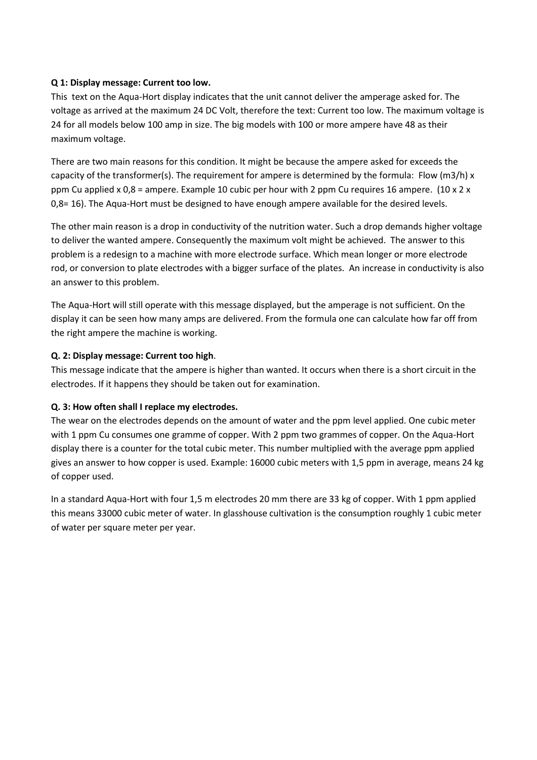### **Q 1: Display message: Current too low.**

This text on the Aqua-Hort display indicates that the unit cannot deliver the amperage asked for. The voltage as arrived at the maximum 24 DC Volt, therefore the text: Current too low. The maximum voltage is 24 for all models below 100 amp in size. The big models with 100 or more ampere have 48 as their maximum voltage.

There are two main reasons for this condition. It might be because the ampere asked for exceeds the capacity of the transformer(s). The requirement for ampere is determined by the formula: Flow (m3/h) x ppm Cu applied x 0,8 = ampere. Example 10 cubic per hour with 2 ppm Cu requires 16 ampere. (10 x 2 x 0,8= 16). The Aqua-Hort must be designed to have enough ampere available for the desired levels.

The other main reason is a drop in conductivity of the nutrition water. Such a drop demands higher voltage to deliver the wanted ampere. Consequently the maximum volt might be achieved. The answer to this problem is a redesign to a machine with more electrode surface. Which mean longer or more electrode rod, or conversion to plate electrodes with a bigger surface of the plates. An increase in conductivity is also an answer to this problem.

The Aqua-Hort will still operate with this message displayed, but the amperage is not sufficient. On the display it can be seen how many amps are delivered. From the formula one can calculate how far off from the right ampere the machine is working.

### **Q. 2: Display message: Current too high**.

This message indicate that the ampere is higher than wanted. It occurs when there is a short circuit in the electrodes. If it happens they should be taken out for examination.

# **Q. 3: How often shall I replace my electrodes.**

The wear on the electrodes depends on the amount of water and the ppm level applied. One cubic meter with 1 ppm Cu consumes one gramme of copper. With 2 ppm two grammes of copper. On the Aqua-Hort display there is a counter for the total cubic meter. This number multiplied with the average ppm applied gives an answer to how copper is used. Example: 16000 cubic meters with 1,5 ppm in average, means 24 kg of copper used.

In a standard Aqua-Hort with four 1,5 m electrodes 20 mm there are 33 kg of copper. With 1 ppm applied this means 33000 cubic meter of water. In glasshouse cultivation is the consumption roughly 1 cubic meter of water per square meter per year.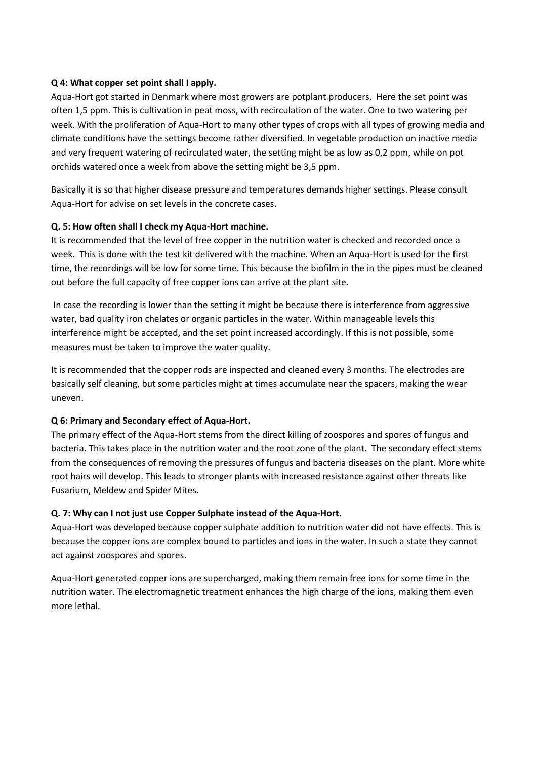### **Q 4: What copper set point shall I apply.**

Aqua-Hort got started in Denmark where most growers are potplant producers. Here the set point was often 1,5 ppm. This is cultivation in peat moss, with recirculation of the water. One to two watering per week. With the proliferation of Aqua-Hort to many other types of crops with all types of growing media and climate conditions have the settings become rather diversified. In vegetable production on inactive media and very frequent watering of recirculated water, the setting might be as low as 0,2 ppm, while on pot orchids watered once a week from above the setting might be 3,5 ppm.

Basically it is so that higher disease pressure and temperatures demands higher settings. Please consult Aqua-Hort for advise on set levels in the concrete cases.

### **Q. 5: How often shall I check my Aqua-Hort machine.**

It is recommended that the level of free copper in the nutrition water is checked and recorded once a week. This is done with the test kit delivered with the machine. When an Aqua-Hort is used for the first time, the recordings will be low for some time. This because the biofilm in the in the pipes must be cleaned out before the full capacity of free copper ions can arrive at the plant site.

In case the recording is lower than the setting it might be because there is interference from aggressive water, bad quality iron chelates or organic particles in the water. Within manageable levels this interference might be accepted, and the set point increased accordingly. If this is not possible, some measures must be taken to improve the water quality.

It is recommended that the copper rods are inspected and cleaned every 3 months. The electrodes are basically self cleaning, but some particles might at times accumulate near the spacers, making the wear uneven.

#### **Q 6: Primary and Secondary effect of Aqua-Hort.**

The primary effect of the Aqua-Hort stems from the direct killing of zoospores and spores of fungus and bacteria. This takes place in the nutrition water and the root zone of the plant. The secondary effect stems from the consequences of removing the pressures of fungus and bacteria diseases on the plant. More white root hairs will develop. This leads to stronger plants with increased resistance against other threats like Fusarium, Meldew and Spider Mites.

# **Q. 7: Why can I not just use Copper Sulphate instead of the Aqua-Hort.**

Aqua-Hort was developed because copper sulphate addition to nutrition water did not have effects. This is because the copper ions are complex bound to particles and ions in the water. In such a state they cannot act against zoospores and spores.

Aqua-Hort generated copper ions are supercharged, making them remain free ions for some time in the nutrition water. The electromagnetic treatment enhances the high charge of the ions, making them even more lethal.